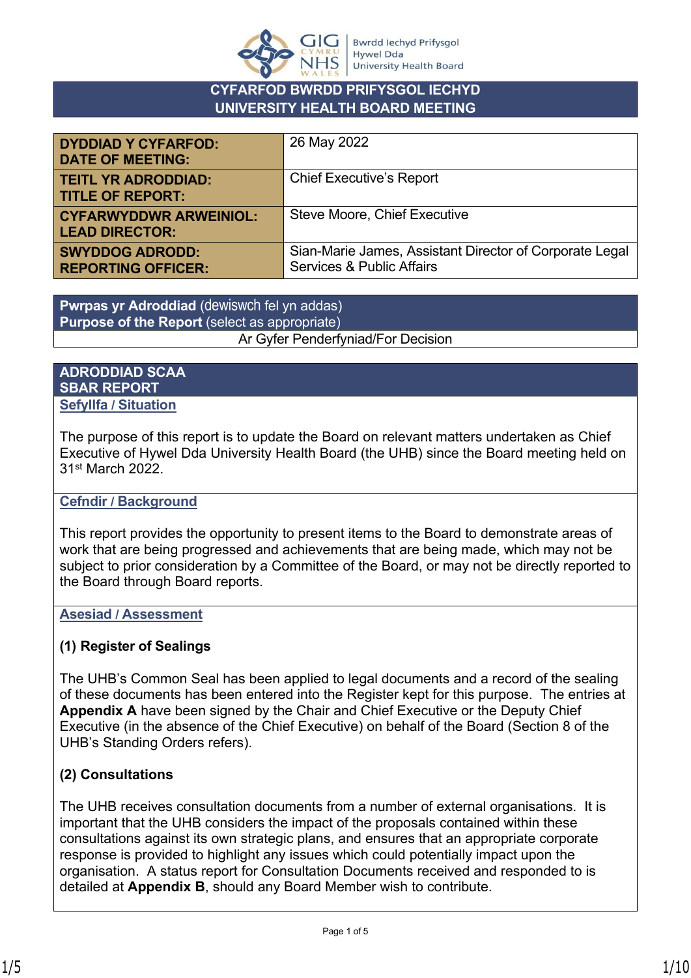

#### **CYFARFOD BWRDD PRIFYSGOL IECHYD UNIVERSITY HEALTH BOARD MEETING**

| <b>DYDDIAD Y CYFARFOD:</b><br><b>DATE OF MEETING:</b>  | 26 May 2022                                                                                     |
|--------------------------------------------------------|-------------------------------------------------------------------------------------------------|
| <b>TEITL YR ADRODDIAD:</b><br><b>TITLE OF REPORT:</b>  | <b>Chief Executive's Report</b>                                                                 |
| <b>CYFARWYDDWR ARWEINIOL:</b><br><b>LEAD DIRECTOR:</b> | Steve Moore, Chief Executive                                                                    |
| <b>SWYDDOG ADRODD:</b><br><b>REPORTING OFFICER:</b>    | Sian-Marie James, Assistant Director of Corporate Legal<br><b>Services &amp; Public Affairs</b> |

**Pwrpas yr Adroddiad** (dewiswch fel yn addas) **Purpose of the Report** (select as appropriate) Ar Gyfer Penderfyniad/For Decision

#### **ADRODDIAD SCAA SBAR REPORT Sefyllfa / Situation**

The purpose of this report is to update the Board on relevant matters undertaken as Chief Executive of Hywel Dda University Health Board (the UHB) since the Board meeting held on 31st March 2022.

#### **Cefndir / Background**

This report provides the opportunity to present items to the Board to demonstrate areas of work that are being progressed and achievements that are being made, which may not be subject to prior consideration by a Committee of the Board, or may not be directly reported to the Board through Board reports.

#### **Asesiad / Assessment**

#### **(1) Register of Sealings**

The UHB's Common Seal has been applied to legal documents and a record of the sealing of these documents has been entered into the Register kept for this purpose. The entries at **Appendix A** have been signed by the Chair and Chief Executive or the Deputy Chief Executive (in the absence of the Chief Executive) on behalf of the Board (Section 8 of the UHB's Standing Orders refers).

### **(2) Consultations**

The UHB receives consultation documents from a number of external organisations. It is important that the UHB considers the impact of the proposals contained within these consultations against its own strategic plans, and ensures that an appropriate corporate response is provided to highlight any issues which could potentially impact upon the organisation. A status report for Consultation Documents received and responded to is detailed at **Appendix B**, should any Board Member wish to contribute.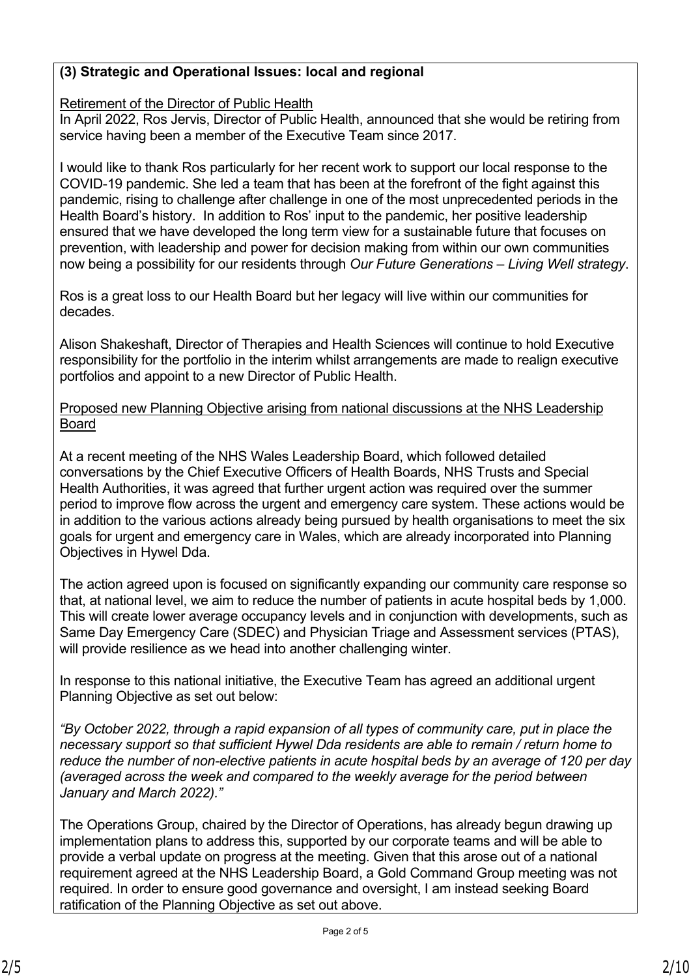#### **(3) Strategic and Operational Issues: local and regional**

Retirement of the Director of Public Health

In April 2022, Ros Jervis, Director of Public Health, announced that she would be retiring from service having been a member of the Executive Team since 2017.

I would like to thank Ros particularly for her recent work to support our local response to the COVID-19 pandemic. She led a team that has been at the forefront of the fight against this pandemic, rising to challenge after challenge in one of the most unprecedented periods in the Health Board's history. In addition to Ros' input to the pandemic, her positive leadership ensured that we have developed the long term view for a sustainable future that focuses on prevention, with leadership and power for decision making from within our own communities now being a possibility for our residents through *Our Future Generations – Living Well strategy*.

Ros is a great loss to our Health Board but her legacy will live within our communities for decades.

Alison Shakeshaft, Director of Therapies and Health Sciences will continue to hold Executive responsibility for the portfolio in the interim whilst arrangements are made to realign executive portfolios and appoint to a new Director of Public Health.

Proposed new Planning Objective arising from national discussions at the NHS Leadership Board

At a recent meeting of the NHS Wales Leadership Board, which followed detailed conversations by the Chief Executive Officers of Health Boards, NHS Trusts and Special Health Authorities, it was agreed that further urgent action was required over the summer period to improve flow across the urgent and emergency care system. These actions would be in addition to the various actions already being pursued by health organisations to meet the six goals for urgent and emergency care in Wales, which are already incorporated into Planning Objectives in Hywel Dda.

The action agreed upon is focused on significantly expanding our community care response so that, at national level, we aim to reduce the number of patients in acute hospital beds by 1,000. This will create lower average occupancy levels and in conjunction with developments, such as Same Day Emergency Care (SDEC) and Physician Triage and Assessment services (PTAS), will provide resilience as we head into another challenging winter.

In response to this national initiative, the Executive Team has agreed an additional urgent Planning Objective as set out below:

*"By October 2022, through a rapid expansion of all types of community care, put in place the necessary support so that sufficient Hywel Dda residents are able to remain / return home to reduce the number of non-elective patients in acute hospital beds by an average of 120 per day (averaged across the week and compared to the weekly average for the period between January and March 2022)."*

The Operations Group, chaired by the Director of Operations, has already begun drawing up implementation plans to address this, supported by our corporate teams and will be able to provide a verbal update on progress at the meeting. Given that this arose out of a national requirement agreed at the NHS Leadership Board, a Gold Command Group meeting was not required. In order to ensure good governance and oversight, I am instead seeking Board ratification of the Planning Objective as set out above.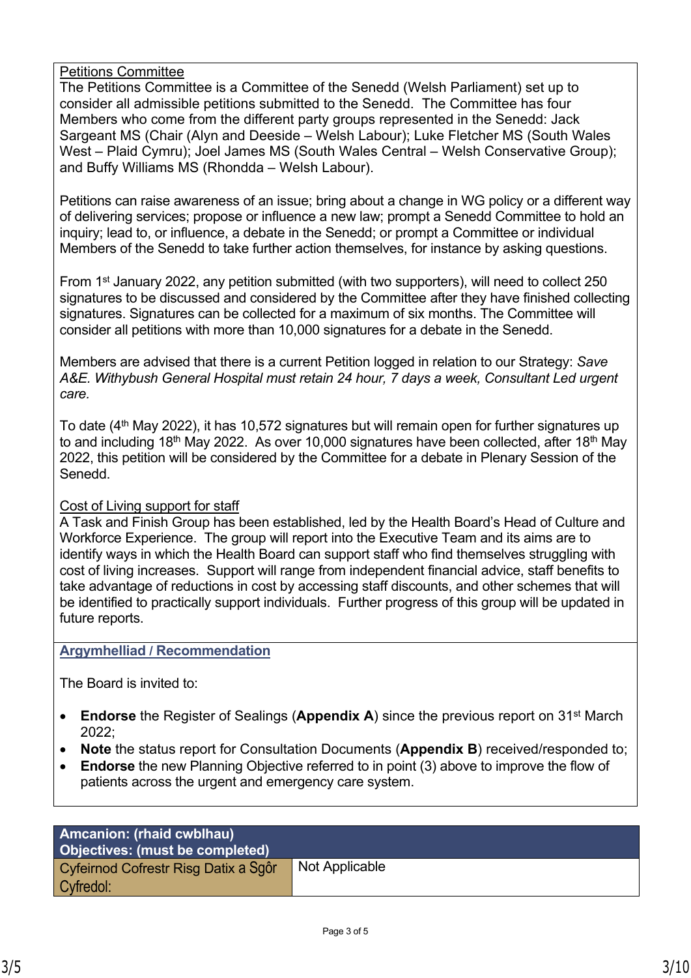Petitions Committee

The Petitions Committee is a Committee of the Senedd (Welsh Parliament) set up to consider all admissible petitions submitted to the Senedd. The Committee has four Members who come from the different party groups represented in the Senedd: Jack Sargeant MS (Chair (Alyn and Deeside – Welsh Labour); Luke Fletcher MS (South Wales West – Plaid Cymru); Joel James MS (South Wales Central – Welsh Conservative Group); and Buffy Williams MS (Rhondda – Welsh Labour).

Petitions can raise awareness of an issue; bring about a change in WG policy or a different way of delivering services; propose or influence a new law; prompt a Senedd Committee to hold an inquiry; lead to, or influence, a debate in the Senedd; or prompt a Committee or individual Members of the Senedd to take further action themselves, for instance by asking questions.

• From 1st January 2022, any petition submitted (with two supporters), will need to collect 250 signatures to be discussed and considered by the Committee after they have finished collecting signatures. Signatures can be collected for a maximum of six months. The Committee will consider all petitions with more than 10,000 signatures for a debate in the Senedd.

Members are advised that there is a current Petition logged in relation to our Strategy: *Save A&E. Withybush General Hospital must retain 24 hour, 7 days a week, Consultant Led urgent care.*

To date (4<sup>th</sup> May 2022), it has 10.572 signatures but will remain open for further signatures up to and including 18<sup>th</sup> May 2022. As over 10,000 signatures have been collected, after 18<sup>th</sup> May 2022, this petition will be considered by the Committee for a debate in Plenary Session of the Senedd.

#### Cost of Living support for staff

A Task and Finish Group has been established, led by the Health Board's Head of Culture and Workforce Experience. The group will report into the Executive Team and its aims are to identify ways in which the Health Board can support staff who find themselves struggling with cost of living increases. Support will range from independent financial advice, staff benefits to take advantage of reductions in cost by accessing staff discounts, and other schemes that will be identified to practically support individuals. Further progress of this group will be updated in future reports.

#### **Argymhelliad / Recommendation**

The Board is invited to:

- **Endorse** the Register of Sealings (**Appendix A**) since the previous report on 31st March 2022;
- **Note** the status report for Consultation Documents (**Appendix B**) received/responded to;
- **Endorse** the new Planning Objective referred to in point (3) above to improve the flow of patients across the urgent and emergency care system.

| Amcanion: (rhaid cwblhau)<br>Objectives: (must be completed) |                |
|--------------------------------------------------------------|----------------|
| Cyfeirnod Cofrestr Risg Datix a Sgôr<br>Cyfredol:            | Not Applicable |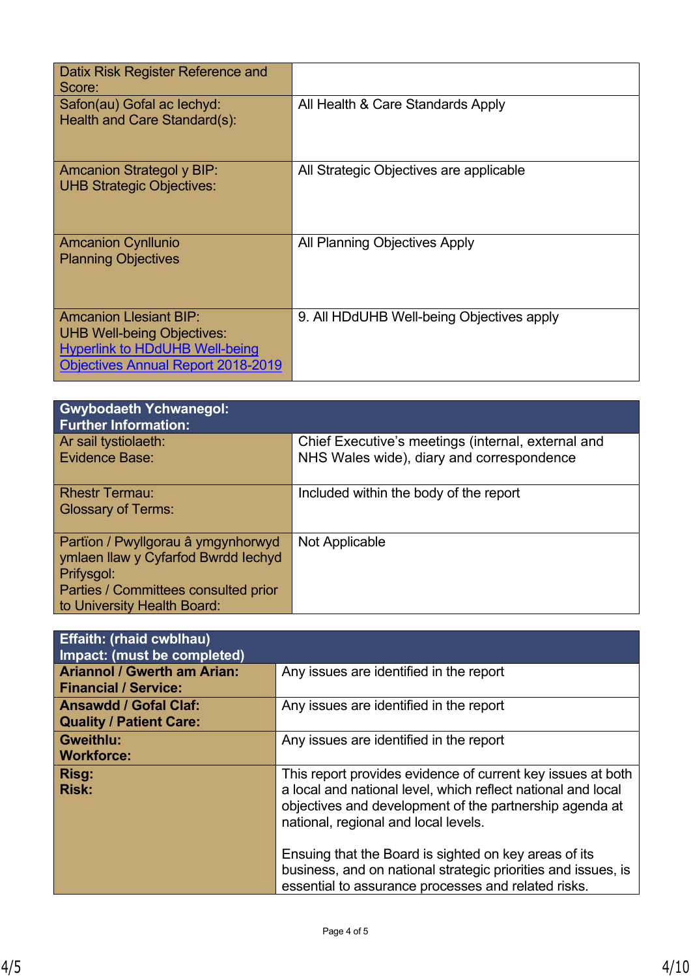| Datix Risk Register Reference and<br>Score:                                                                                                              |                                           |
|----------------------------------------------------------------------------------------------------------------------------------------------------------|-------------------------------------------|
| Safon(au) Gofal ac lechyd:<br>Health and Care Standard(s):                                                                                               | All Health & Care Standards Apply         |
| Amcanion Strategol y BIP:<br><b>UHB Strategic Objectives:</b>                                                                                            | All Strategic Objectives are applicable   |
| <b>Amcanion Cynllunio</b><br><b>Planning Objectives</b>                                                                                                  | All Planning Objectives Apply             |
| <b>Amcanion Llesiant BIP:</b><br><b>UHB Well-being Objectives:</b><br><b>Hyperlink to HDdUHB Well-being</b><br><b>Objectives Annual Report 2018-2019</b> | 9. All HDdUHB Well-being Objectives apply |

| <b>Gwybodaeth Ychwanegol:</b><br><b>Further Information:</b>                                                                                                   |                                                                                                 |
|----------------------------------------------------------------------------------------------------------------------------------------------------------------|-------------------------------------------------------------------------------------------------|
| Ar sail tystiolaeth:<br>Evidence Base:                                                                                                                         | Chief Executive's meetings (internal, external and<br>NHS Wales wide), diary and correspondence |
| <b>Rhestr Termau:</b><br><b>Glossary of Terms:</b>                                                                                                             | Included within the body of the report                                                          |
| Partïon / Pwyllgorau â ymgynhorwyd<br>ymlaen llaw y Cyfarfod Bwrdd lechyd<br>Prifysgol:<br>Parties / Committees consulted prior<br>to University Health Board: | Not Applicable                                                                                  |

| <b>Effaith: (rhaid cwblhau)</b><br>Impact: (must be completed)    |                                                                                                                                                                                                                                |
|-------------------------------------------------------------------|--------------------------------------------------------------------------------------------------------------------------------------------------------------------------------------------------------------------------------|
| <b>Ariannol / Gwerth am Arian:</b><br><b>Financial / Service:</b> | Any issues are identified in the report                                                                                                                                                                                        |
| <b>Ansawdd / Gofal Claf:</b><br><b>Quality / Patient Care:</b>    | Any issues are identified in the report                                                                                                                                                                                        |
| <b>Gweithlu:</b><br><b>Workforce:</b>                             | Any issues are identified in the report                                                                                                                                                                                        |
| Risg:<br><b>Risk:</b>                                             | This report provides evidence of current key issues at both<br>a local and national level, which reflect national and local<br>objectives and development of the partnership agenda at<br>national, regional and local levels. |
|                                                                   | Ensuing that the Board is sighted on key areas of its<br>business, and on national strategic priorities and issues, is<br>essential to assurance processes and related risks.                                                  |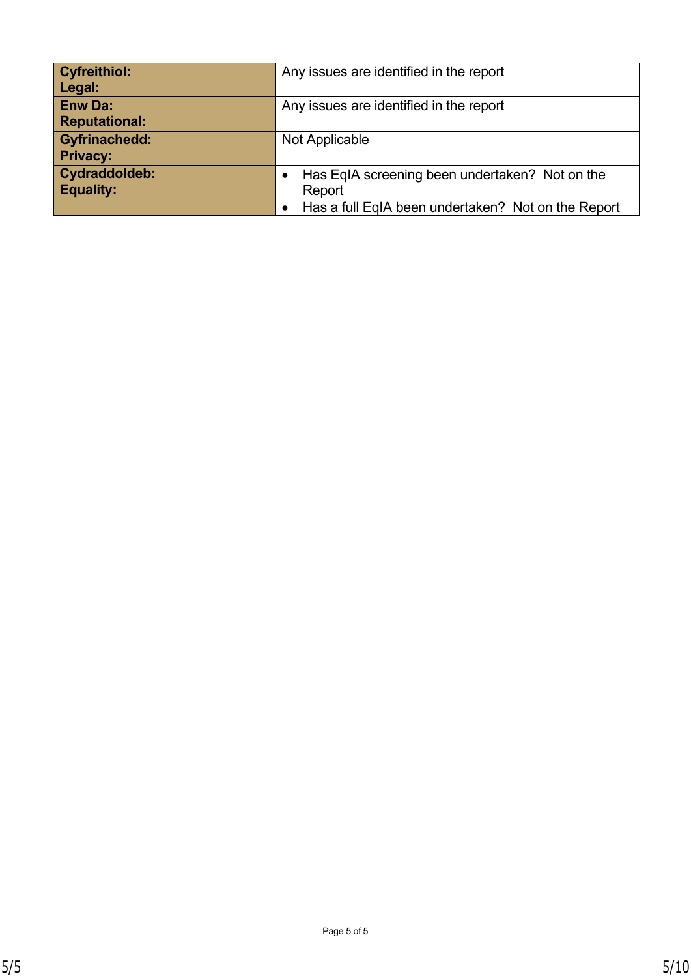| <b>Cyfreithiol:</b>  | Any issues are identified in the report             |
|----------------------|-----------------------------------------------------|
| Legal:               |                                                     |
| <b>Enw Da:</b>       | Any issues are identified in the report             |
| <b>Reputational:</b> |                                                     |
| <b>Gyfrinachedd:</b> | Not Applicable                                      |
| <b>Privacy:</b>      |                                                     |
| Cydraddoldeb:        | Has EqIA screening been undertaken? Not on the<br>٠ |
| <b>Equality:</b>     | Report                                              |
|                      | Has a full EqIA been undertaken? Not on the Report  |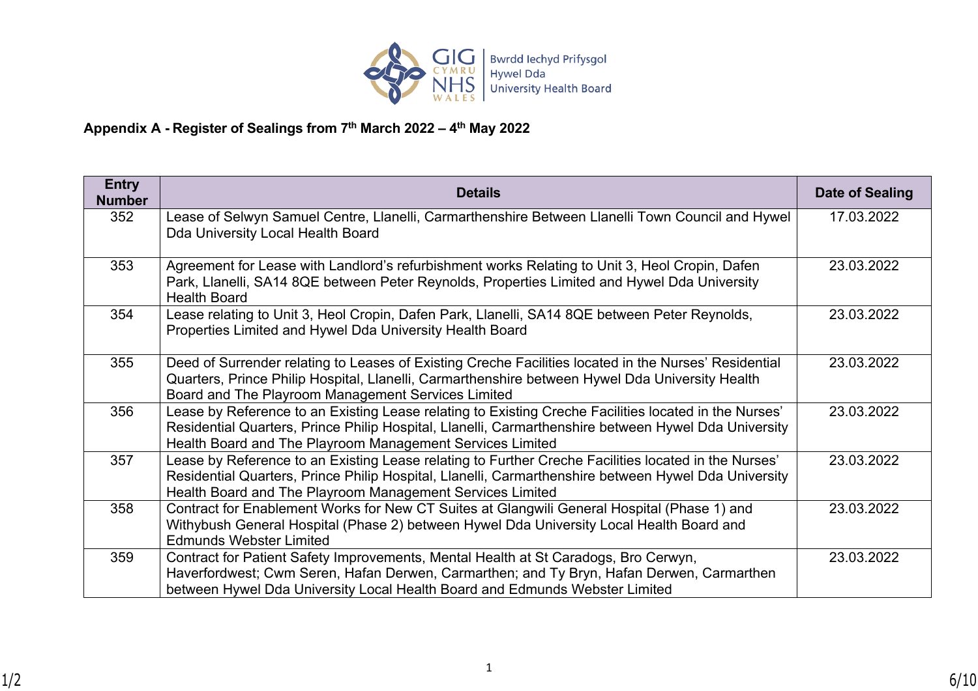

### **Appendix A - Register of Sealings from 7th March 2022 – 4th May 2022**

| <b>Entry</b><br><b>Number</b> | <b>Details</b>                                                                                                                                                                                                                                                             | Date of Sealing |
|-------------------------------|----------------------------------------------------------------------------------------------------------------------------------------------------------------------------------------------------------------------------------------------------------------------------|-----------------|
| 352                           | Lease of Selwyn Samuel Centre, Llanelli, Carmarthenshire Between Llanelli Town Council and Hywel<br>Dda University Local Health Board                                                                                                                                      | 17.03.2022      |
| 353                           | Agreement for Lease with Landlord's refurbishment works Relating to Unit 3, Heol Cropin, Dafen<br>Park, Llanelli, SA14 8QE between Peter Reynolds, Properties Limited and Hywel Dda University<br><b>Health Board</b>                                                      | 23.03.2022      |
| 354                           | Lease relating to Unit 3, Heol Cropin, Dafen Park, Llanelli, SA14 8QE between Peter Reynolds,<br>Properties Limited and Hywel Dda University Health Board                                                                                                                  | 23.03.2022      |
| 355                           | Deed of Surrender relating to Leases of Existing Creche Facilities located in the Nurses' Residential<br>Quarters, Prince Philip Hospital, Llanelli, Carmarthenshire between Hywel Dda University Health<br>Board and The Playroom Management Services Limited             | 23.03.2022      |
| 356                           | Lease by Reference to an Existing Lease relating to Existing Creche Facilities located in the Nurses'<br>Residential Quarters, Prince Philip Hospital, Llanelli, Carmarthenshire between Hywel Dda University<br>Health Board and The Playroom Management Services Limited | 23.03.2022      |
| 357                           | Lease by Reference to an Existing Lease relating to Further Creche Facilities located in the Nurses'<br>Residential Quarters, Prince Philip Hospital, Llanelli, Carmarthenshire between Hywel Dda University<br>Health Board and The Playroom Management Services Limited  | 23.03.2022      |
| 358                           | Contract for Enablement Works for New CT Suites at Glangwili General Hospital (Phase 1) and<br>Withybush General Hospital (Phase 2) between Hywel Dda University Local Health Board and<br><b>Edmunds Webster Limited</b>                                                  | 23.03.2022      |
| 359                           | Contract for Patient Safety Improvements, Mental Health at St Caradogs, Bro Cerwyn,<br>Haverfordwest; Cwm Seren, Hafan Derwen, Carmarthen; and Ty Bryn, Hafan Derwen, Carmarthen<br>between Hywel Dda University Local Health Board and Edmunds Webster Limited            | 23.03.2022      |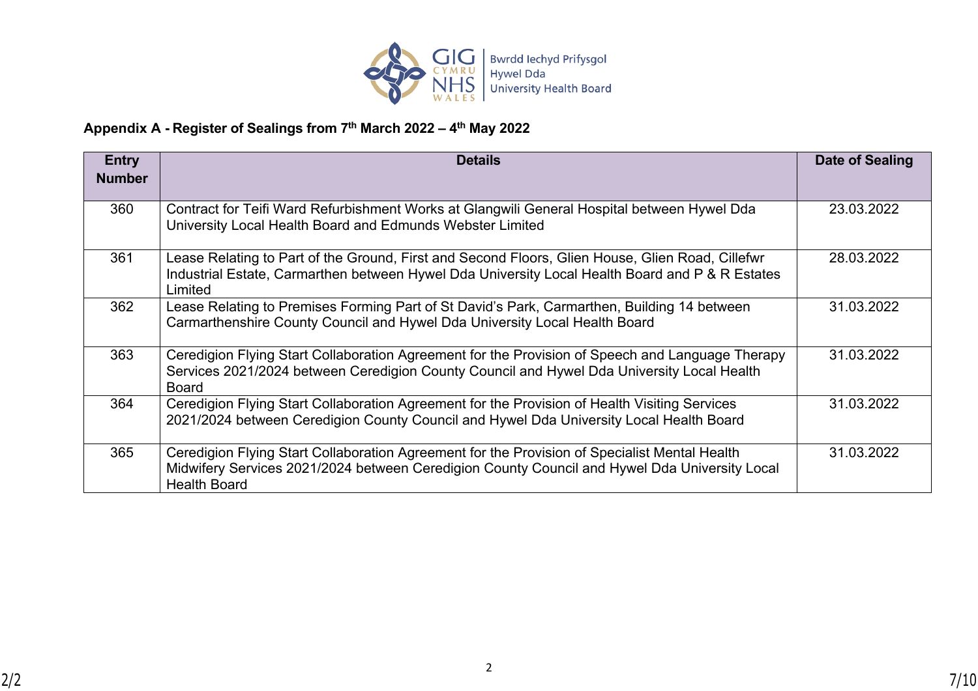

### **Appendix A - Register of Sealings from 7th March 2022 – 4th May 2022**

| <b>Entry</b><br><b>Number</b> | <b>Details</b>                                                                                                                                                                                                        | Date of Sealing |
|-------------------------------|-----------------------------------------------------------------------------------------------------------------------------------------------------------------------------------------------------------------------|-----------------|
|                               |                                                                                                                                                                                                                       |                 |
| 360                           | Contract for Teifi Ward Refurbishment Works at Glangwili General Hospital between Hywel Dda<br>University Local Health Board and Edmunds Webster Limited                                                              | 23.03.2022      |
| 361                           | Lease Relating to Part of the Ground, First and Second Floors, Glien House, Glien Road, Cillefwr<br>Industrial Estate, Carmarthen between Hywel Dda University Local Health Board and P & R Estates<br>Limited        | 28.03.2022      |
| 362                           | Lease Relating to Premises Forming Part of St David's Park, Carmarthen, Building 14 between<br>Carmarthenshire County Council and Hywel Dda University Local Health Board                                             | 31.03.2022      |
| 363                           | Ceredigion Flying Start Collaboration Agreement for the Provision of Speech and Language Therapy<br>Services 2021/2024 between Ceredigion County Council and Hywel Dda University Local Health<br><b>Board</b>        | 31.03.2022      |
| 364                           | Ceredigion Flying Start Collaboration Agreement for the Provision of Health Visiting Services<br>2021/2024 between Ceredigion County Council and Hywel Dda University Local Health Board                              | 31.03.2022      |
| 365                           | Ceredigion Flying Start Collaboration Agreement for the Provision of Specialist Mental Health<br>Midwifery Services 2021/2024 between Ceredigion County Council and Hywel Dda University Local<br><b>Health Board</b> | 31.03.2022      |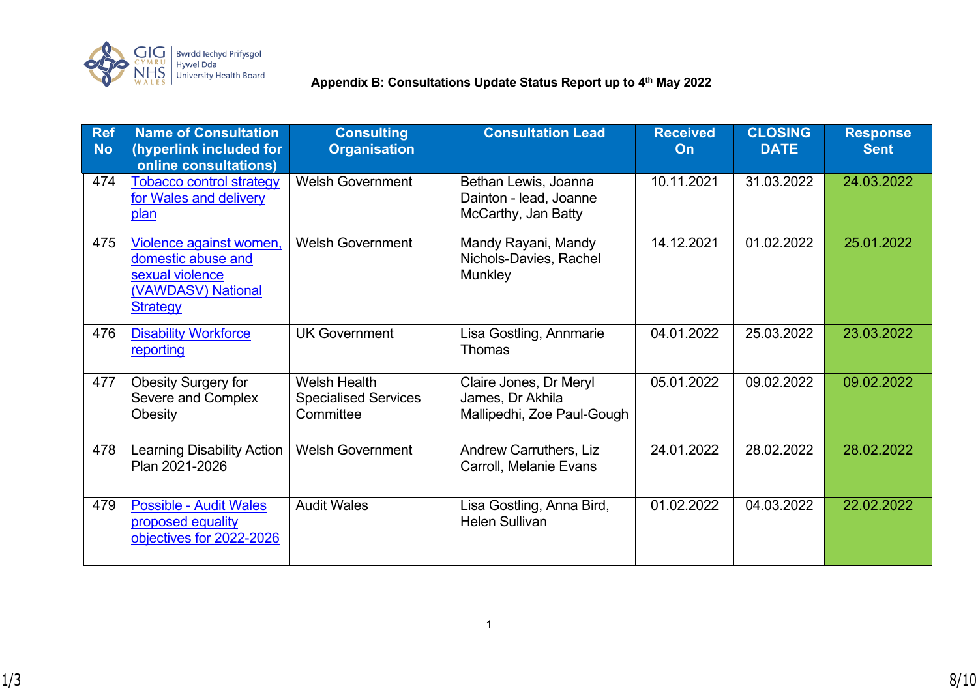

# **Appendix B: Consultations Update Status Report up to 4<sup>th</sup> May 2022**<br>| Hywel Dda<br>| University Health Board**able Appendix B: Consultations Update Status Report up to 4<sup>th</sup> May 2022**

| <b>Ref</b><br><b>No</b> | <b>Name of Consultation</b><br>(hyperlink included for<br>online consultations)                           | <b>Consulting</b><br><b>Organisation</b>                        | <b>Consultation Lead</b>                                                 | <b>Received</b><br>On | <b>CLOSING</b><br><b>DATE</b> | <b>Response</b><br><b>Sent</b> |
|-------------------------|-----------------------------------------------------------------------------------------------------------|-----------------------------------------------------------------|--------------------------------------------------------------------------|-----------------------|-------------------------------|--------------------------------|
| 474                     | <b>Tobacco control strategy</b><br>for Wales and delivery<br>plan                                         | <b>Welsh Government</b>                                         | Bethan Lewis, Joanna<br>Dainton - lead, Joanne<br>McCarthy, Jan Batty    | 10.11.2021            | 31.03.2022                    | 24.03.2022                     |
| 475                     | Violence against women,<br>domestic abuse and<br>sexual violence<br>(VAWDASV) National<br><b>Strategy</b> | <b>Welsh Government</b>                                         | Mandy Rayani, Mandy<br>Nichols-Davies, Rachel<br><b>Munkley</b>          | 14.12.2021            | 01.02.2022                    | 25.01.2022                     |
| 476                     | <b>Disability Workforce</b><br>reporting                                                                  | <b>UK Government</b>                                            | Lisa Gostling, Annmarie<br><b>Thomas</b>                                 | 04.01.2022            | 25.03.2022                    | 23.03.2022                     |
| 477                     | <b>Obesity Surgery for</b><br>Severe and Complex<br>Obesity                                               | <b>Welsh Health</b><br><b>Specialised Services</b><br>Committee | Claire Jones, Dr Meryl<br>James, Dr Akhila<br>Mallipedhi, Zoe Paul-Gough | 05.01.2022            | 09.02.2022                    | 09.02.2022                     |
| 478                     | <b>Learning Disability Action</b><br>Plan 2021-2026                                                       | <b>Welsh Government</b>                                         | Andrew Carruthers, Liz<br>Carroll, Melanie Evans                         | 24.01.2022            | 28.02.2022                    | 28.02.2022                     |
| 479                     | <b>Possible - Audit Wales</b><br>proposed equality<br>objectives for 2022-2026                            | <b>Audit Wales</b>                                              | Lisa Gostling, Anna Bird,<br><b>Helen Sullivan</b>                       | 01.02.2022            | 04.03.2022                    | 22.02.2022                     |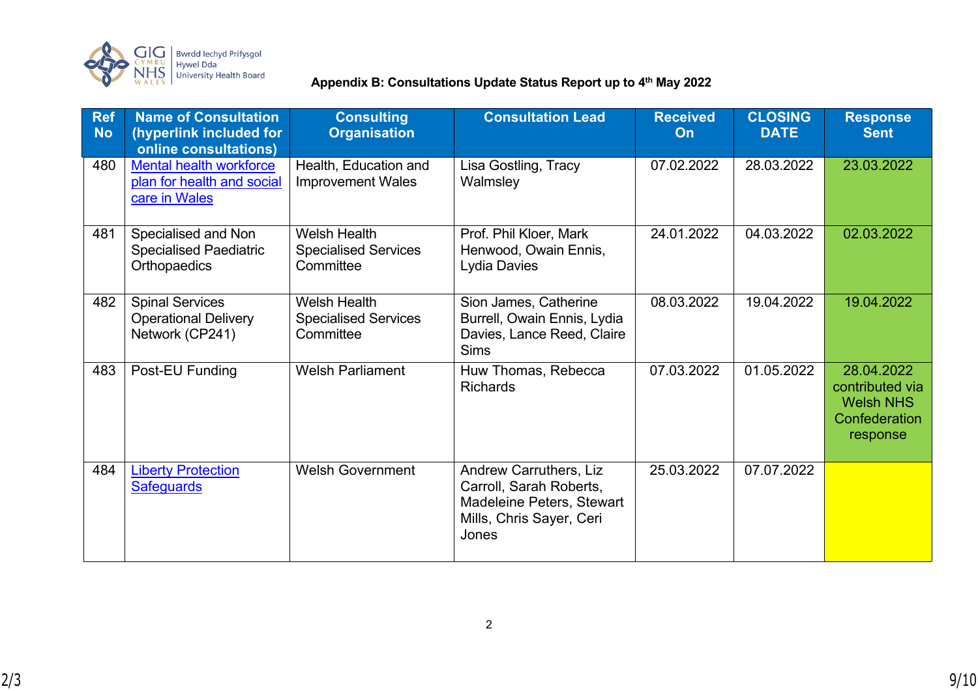

# Bwrdd lechyd Prifysgol<br>Hywel Dda<br>University Health Board **Appendix B: Consultations Update Status Report up to 4<sup>th</sup> May 2022**

| <b>Ref</b><br><b>No</b> | <b>Name of Consultation</b><br>(hyperlink included for<br>online consultations) | <b>Consulting</b><br><b>Organisation</b>                        | <b>Consultation Lead</b>                                                                                                   | <b>Received</b><br>On | <b>CLOSING</b><br><b>DATE</b> | <b>Response</b><br><b>Sent</b>                                                 |
|-------------------------|---------------------------------------------------------------------------------|-----------------------------------------------------------------|----------------------------------------------------------------------------------------------------------------------------|-----------------------|-------------------------------|--------------------------------------------------------------------------------|
| 480                     | <b>Mental health workforce</b><br>plan for health and social<br>care in Wales   | Health, Education and<br><b>Improvement Wales</b>               | Lisa Gostling, Tracy<br>Walmsley                                                                                           | 07.02.2022            | 28.03.2022                    | 23.03.2022                                                                     |
| 481                     | Specialised and Non<br><b>Specialised Paediatric</b><br>Orthopaedics            | <b>Welsh Health</b><br><b>Specialised Services</b><br>Committee | Prof. Phil Kloer, Mark<br>Henwood, Owain Ennis,<br><b>Lydia Davies</b>                                                     | 24.01.2022            | 04.03.2022                    | 02.03.2022                                                                     |
| 482                     | <b>Spinal Services</b><br><b>Operational Delivery</b><br>Network (CP241)        | <b>Welsh Health</b><br><b>Specialised Services</b><br>Committee | Sion James, Catherine<br>Burrell, Owain Ennis, Lydia<br>Davies, Lance Reed, Claire<br><b>Sims</b>                          | 08.03.2022            | 19.04.2022                    | 19.04.2022                                                                     |
| 483                     | Post-EU Funding                                                                 | <b>Welsh Parliament</b>                                         | Huw Thomas, Rebecca<br><b>Richards</b>                                                                                     | 07.03.2022            | 01.05.2022                    | 28.04.2022<br>contributed via<br><b>Welsh NHS</b><br>Confederation<br>response |
| 484                     | <b>Liberty Protection</b><br><b>Safeguards</b>                                  | <b>Welsh Government</b>                                         | <b>Andrew Carruthers, Liz</b><br>Carroll, Sarah Roberts,<br>Madeleine Peters, Stewart<br>Mills, Chris Sayer, Ceri<br>Jones | 25.03.2022            | 07.07.2022                    |                                                                                |